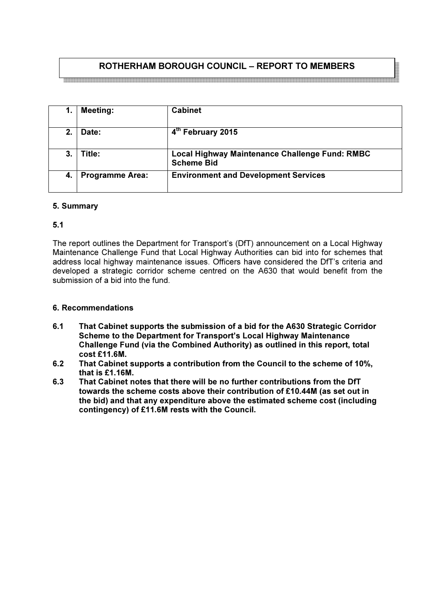# ROTHERHAM BOROUGH COUNCIL – REPORT TO MEMBERS

| 1.             | <b>Meeting:</b>        | <b>Cabinet</b>                                                      |
|----------------|------------------------|---------------------------------------------------------------------|
| 2 <sub>1</sub> | Date:                  | 4 <sup>th</sup> February 2015                                       |
| 3.             | Title:                 | Local Highway Maintenance Challenge Fund: RMBC<br><b>Scheme Bid</b> |
| -4.            | <b>Programme Area:</b> | <b>Environment and Development Services</b>                         |

# 5. Summary

# 5.1

The report outlines the Department for Transport's (DfT) announcement on a Local Highway Maintenance Challenge Fund that Local Highway Authorities can bid into for schemes that address local highway maintenance issues. Officers have considered the DfT's criteria and developed a strategic corridor scheme centred on the A630 that would benefit from the submission of a bid into the fund.

## 6. Recommendations

- 6.1 That Cabinet supports the submission of a bid for the A630 Strategic Corridor Scheme to the Department for Transport's Local Highway Maintenance Challenge Fund (via the Combined Authority) as outlined in this report, total cost £11.6M.
- 6.2 That Cabinet supports a contribution from the Council to the scheme of 10%, that is £1.16M.
- 6.3 That Cabinet notes that there will be no further contributions from the DfT towards the scheme costs above their contribution of £10.44M (as set out in the bid) and that any expenditure above the estimated scheme cost (including contingency) of £11.6M rests with the Council.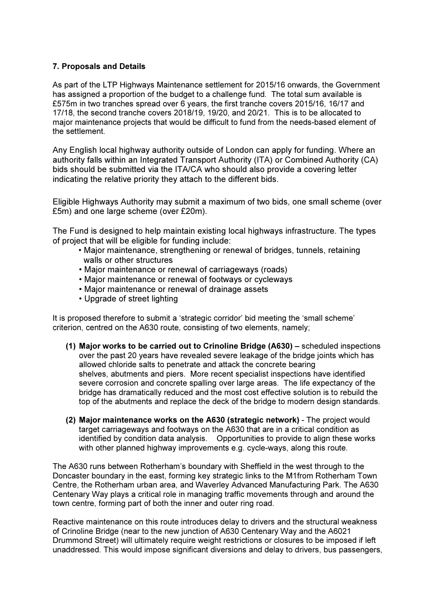# 7. Proposals and Details

As part of the LTP Highways Maintenance settlement for 2015/16 onwards, the Government has assigned a proportion of the budget to a challenge fund. The total sum available is £575m in two tranches spread over 6 years, the first tranche covers 2015/16, 16/17 and 17/18, the second tranche covers 2018/19, 19/20, and 20/21. This is to be allocated to major maintenance projects that would be difficult to fund from the needs-based element of the settlement.

Any English local highway authority outside of London can apply for funding. Where an authority falls within an Integrated Transport Authority (ITA) or Combined Authority (CA) bids should be submitted via the ITA/CA who should also provide a covering letter indicating the relative priority they attach to the different bids.

Eligible Highways Authority may submit a maximum of two bids, one small scheme (over £5m) and one large scheme (over £20m).

The Fund is designed to help maintain existing local highways infrastructure. The types of project that will be eligible for funding include:

- Major maintenance, strengthening or renewal of bridges, tunnels, retaining walls or other structures
- Major maintenance or renewal of carriageways (roads)
- Major maintenance or renewal of footways or cycleways
- Major maintenance or renewal of drainage assets
- Upgrade of street lighting

It is proposed therefore to submit a 'strategic corridor' bid meeting the 'small scheme' criterion, centred on the A630 route, consisting of two elements, namely;

- (1) Major works to be carried out to Crinoline Bridge (A630) scheduled inspections over the past 20 years have revealed severe leakage of the bridge joints which has allowed chloride salts to penetrate and attack the concrete bearing shelves, abutments and piers. More recent specialist inspections have identified severe corrosion and concrete spalling over large areas. The life expectancy of the bridge has dramatically reduced and the most cost effective solution is to rebuild the top of the abutments and replace the deck of the bridge to modern design standards.
- (2) Major maintenance works on the A630 (strategic network) The project would target carriageways and footways on the A630 that are in a critical condition as identified by condition data analysis. Opportunities to provide to align these works with other planned highway improvements e.g. cycle-ways, along this route.

The A630 runs between Rotherham's boundary with Sheffield in the west through to the Doncaster boundary in the east, forming key strategic links to the M1from Rotherham Town Centre, the Rotherham urban area, and Waverley Advanced Manufacturing Park. The A630 Centenary Way plays a critical role in managing traffic movements through and around the town centre, forming part of both the inner and outer ring road.

Reactive maintenance on this route introduces delay to drivers and the structural weakness of Crinoline Bridge (near to the new junction of A630 Centenary Way and the A6021 Drummond Street) will ultimately require weight restrictions or closures to be imposed if left unaddressed. This would impose significant diversions and delay to drivers, bus passengers,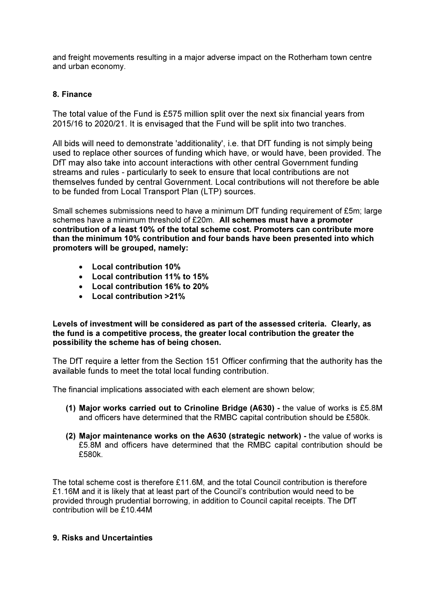and freight movements resulting in a major adverse impact on the Rotherham town centre and urban economy.

## 8. Finance

The total value of the Fund is £575 million split over the next six financial years from 2015/16 to 2020/21. It is envisaged that the Fund will be split into two tranches.

All bids will need to demonstrate 'additionality', i.e. that DfT funding is not simply being used to replace other sources of funding which have, or would have, been provided. The DfT may also take into account interactions with other central Government funding streams and rules - particularly to seek to ensure that local contributions are not themselves funded by central Government. Local contributions will not therefore be able to be funded from Local Transport Plan (LTP) sources.

Small schemes submissions need to have a minimum DfT funding requirement of £5m; large schemes have a minimum threshold of £20m. All schemes must have a promoter contribution of a least 10% of the total scheme cost. Promoters can contribute more than the minimum 10% contribution and four bands have been presented into which promoters will be grouped, namely:

- Local contribution 10%
- Local contribution 11% to 15%
- Local contribution 16% to 20%
- Local contribution >21%

Levels of investment will be considered as part of the assessed criteria. Clearly, as the fund is a competitive process, the greater local contribution the greater the possibility the scheme has of being chosen.

The DfT require a letter from the Section 151 Officer confirming that the authority has the available funds to meet the total local funding contribution.

The financial implications associated with each element are shown below;

- (1) Major works carried out to Crinoline Bridge (A630) the value of works is £5.8M and officers have determined that the RMBC capital contribution should be £580k.
- (2) Major maintenance works on the A630 (strategic network) the value of works is £5.8M and officers have determined that the RMBC capital contribution should be £580k.

The total scheme cost is therefore £11.6M, and the total Council contribution is therefore £1.16M and it is likely that at least part of the Council's contribution would need to be provided through prudential borrowing, in addition to Council capital receipts. The DfT contribution will be £10.44M

## 9. Risks and Uncertainties